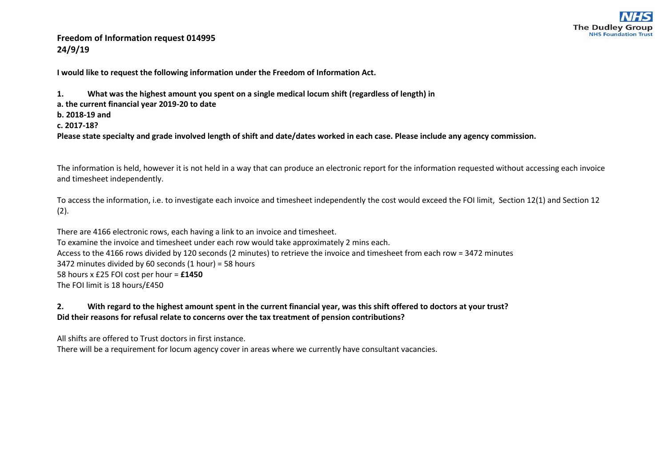

## **Freedom of Information request 014995 24/9/19**

**I would like to request the following information under the Freedom of Information Act.**

**1. What was the highest amount you spent on a single medical locum shift (regardless of length) in a. the current financial year 2019-20 to date b. 2018-19 and c. 2017-18? Please state specialty and grade involved length of shift and date/dates worked in each case. Please include any agency commission.**

The information is held, however it is not held in a way that can produce an electronic report for the information requested without accessing each invoice and timesheet independently.

To access the information, i.e. to investigate each invoice and timesheet independently the cost would exceed the FOI limit, Section 12(1) and Section 12  $(2).$ 

There are 4166 electronic rows, each having a link to an invoice and timesheet. To examine the invoice and timesheet under each row would take approximately 2 mins each. Access to the 4166 rows divided by 120 seconds (2 minutes) to retrieve the invoice and timesheet from each row = 3472 minutes 3472 minutes divided by 60 seconds (1 hour) = 58 hours 58 hours x £25 FOI cost per hour = **£1450** The FOI limit is 18 hours/£450

## **2. With regard to the highest amount spent in the current financial year, was this shift offered to doctors at your trust? Did their reasons for refusal relate to concerns over the tax treatment of pension contributions?**

All shifts are offered to Trust doctors in first instance.

There will be a requirement for locum agency cover in areas where we currently have consultant vacancies.